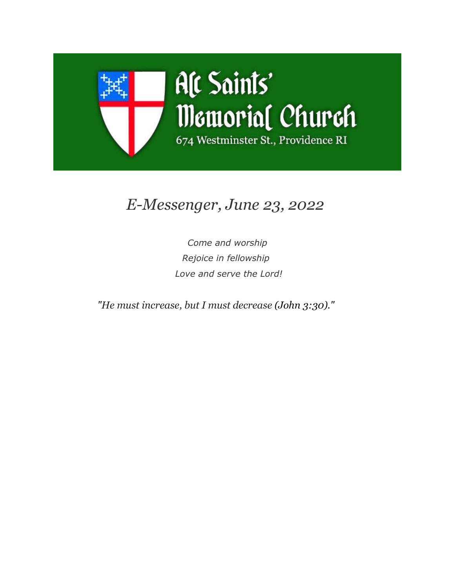

# *E-Messenger, June 23, 2022*

*Come and worship Rejoice in fellowship Love and serve the Lord!*

*"He must increase, but I must decrease (John 3:30)."*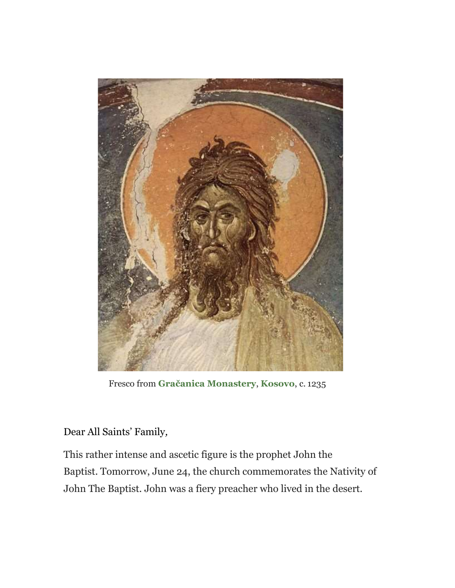

Fresco from **[Gračanica Monastery](https://allsaintsmemorial.us3.list-manage.com/track/click?u=7dd27aa76e5aa692a967a8fe9&id=c2a2d69126&e=ed2b772c05)**, **[Kosovo](https://allsaintsmemorial.us3.list-manage.com/track/click?u=7dd27aa76e5aa692a967a8fe9&id=f8bd297676&e=ed2b772c05)**, c. 1235

### Dear All Saints' Family*,*

This rather intense and ascetic figure is the prophet John the Baptist. Tomorrow, June 24, the church commemorates the Nativity of John The Baptist. John was a fiery preacher who lived in the desert.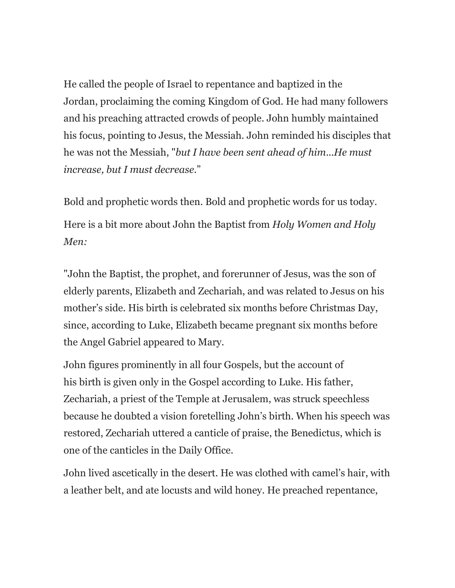He called the people of Israel to repentance and baptized in the Jordan, proclaiming the coming Kingdom of God. He had many followers and his preaching attracted crowds of people. John humbly maintained his focus, pointing to Jesus, the Messiah. John reminded his disciples that he was not the Messiah, "*but I have been sent ahead of him*...*He must increase, but I must decrease*."

Bold and prophetic words then. Bold and prophetic words for us today. Here is a bit more about John the Baptist from *Holy Women and Holy Men:*

"John the Baptist, the prophet, and forerunner of Jesus, was the son of elderly parents, Elizabeth and Zechariah, and was related to Jesus on his mother's side. His birth is celebrated six months before Christmas Day, since, according to Luke, Elizabeth became pregnant six months before the Angel Gabriel appeared to Mary.

John figures prominently in all four Gospels, but the account of his birth is given only in the Gospel according to Luke. His father, Zechariah, a priest of the Temple at Jerusalem, was struck speechless because he doubted a vision foretelling John's birth. When his speech was restored, Zechariah uttered a canticle of praise, the Benedictus, which is one of the canticles in the Daily Office.

John lived ascetically in the desert. He was clothed with camel's hair, with a leather belt, and ate locusts and wild honey. He preached repentance,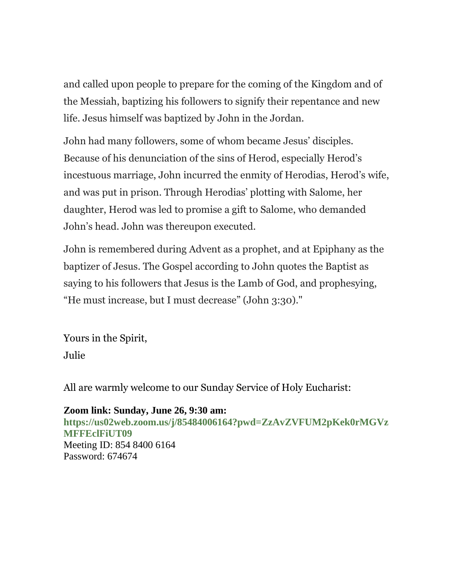and called upon people to prepare for the coming of the Kingdom and of the Messiah, baptizing his followers to signify their repentance and new life. Jesus himself was baptized by John in the Jordan.

John had many followers, some of whom became Jesus' disciples. Because of his denunciation of the sins of Herod, especially Herod's incestuous marriage, John incurred the enmity of Herodias, Herod's wife, and was put in prison. Through Herodias' plotting with Salome, her daughter, Herod was led to promise a gift to Salome, who demanded John's head. John was thereupon executed.

John is remembered during Advent as a prophet, and at Epiphany as the baptizer of Jesus. The Gospel according to John quotes the Baptist as saying to his followers that Jesus is the Lamb of God, and prophesying, "He must increase, but I must decrease" (John 3:30)."

Yours in the Spirit, Julie

All are warmly welcome to our Sunday Service of Holy Eucharist:

**Zoom link: Sunday, June 26, 9:30 am: [https://us02web.zoom.us/j/85484006164?pwd=ZzAvZVFUM2pKek0rMGVz](https://allsaintsmemorial.us3.list-manage.com/track/click?u=7dd27aa76e5aa692a967a8fe9&id=acb56758b1&e=ed2b772c05) [MFFEclFiUT09](https://allsaintsmemorial.us3.list-manage.com/track/click?u=7dd27aa76e5aa692a967a8fe9&id=acb56758b1&e=ed2b772c05)** Meeting ID: 854 8400 6164 Password: 674674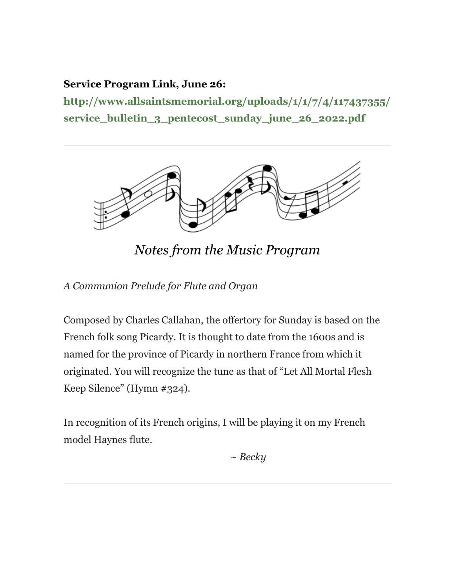### **Service Program Link, June 26:**

**[http://www.allsaintsmemorial.org/uploads/1/1/7/4/117437355/](https://allsaintsmemorial.us3.list-manage.com/track/click?u=7dd27aa76e5aa692a967a8fe9&id=18a0477aa4&e=ed2b772c05) [service\\_bulletin\\_3\\_pentecost\\_sunday\\_june\\_26\\_2022.pdf](https://allsaintsmemorial.us3.list-manage.com/track/click?u=7dd27aa76e5aa692a967a8fe9&id=18a0477aa4&e=ed2b772c05)**



*Notes from the Music Program*

*A Communion Prelude for Flute and Organ*

Composed by Charles Callahan, the offertory for Sunday is based on the French folk song Picardy. It is thought to date from the 1600s and is named for the province of Picardy in northern France from which it originated. You will recognize the tune as that of "Let All Mortal Flesh Keep Silence" (Hymn #324).

In recognition of its French origins, I will be playing it on my French model Haynes flute.

*~ Becky*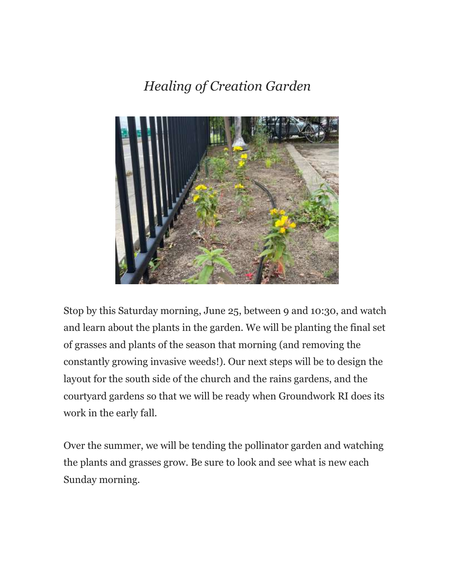## *Healing of Creation Garden*



Stop by this Saturday morning, June 25, between 9 and 10:30, and watch and learn about the plants in the garden. We will be planting the final set of grasses and plants of the season that morning (and removing the constantly growing invasive weeds!). Our next steps will be to design the layout for the south side of the church and the rains gardens, and the courtyard gardens so that we will be ready when Groundwork RI does its work in the early fall.

Over the summer, we will be tending the pollinator garden and watching the plants and grasses grow. Be sure to look and see what is new each Sunday morning.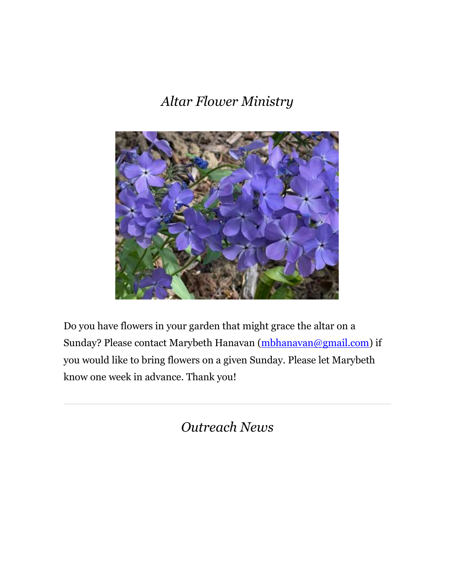*Altar Flower Ministry*



Do you have flowers in your garden that might grace the altar on a Sunday? Please contact Marybeth Hanavan [\(mbhanavan@gmail.com\)](mailto:mbhanavan@gmail.com) if you would like to bring flowers on a given Sunday. Please let Marybeth know one week in advance. Thank you!

*Outreach News*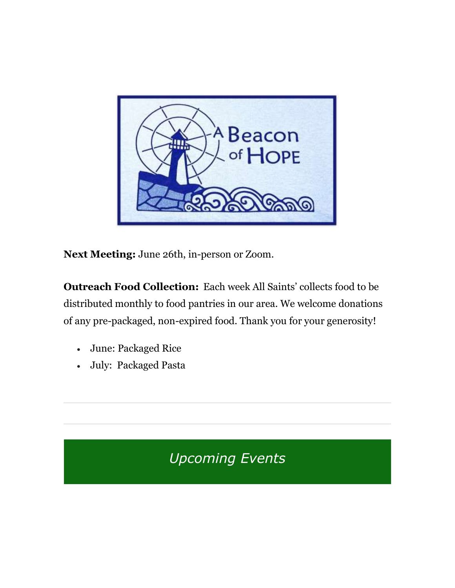

**Next Meeting:** June 26th, in-person or Zoom.

**Outreach Food Collection:** Each week All Saints' collects food to be distributed monthly to food pantries in our area. We welcome donations of any pre-packaged, non-expired food. Thank you for your generosity!

- June: Packaged Rice
- July: Packaged Pasta

*Upcoming Events*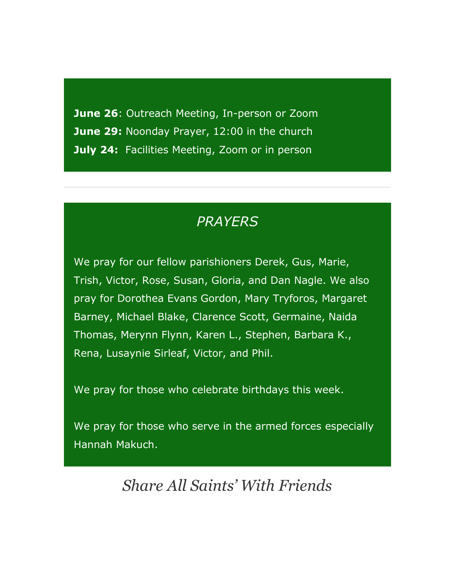**June 26**: Outreach Meeting, In-person or Zoom **June 29:** Noonday Prayer, 12:00 in the church **July 24: Facilities Meeting, Zoom or in person** 

### *PRAYERS*

We pray for our fellow parishioners Derek, Gus, Marie, Trish, Victor, Rose, Susan, Gloria, and Dan Nagle. We also pray for Dorothea Evans Gordon, Mary Tryforos, Margaret Barney, Michael Blake, Clarence Scott, Germaine, Naida Thomas, Merynn Flynn, Karen L., Stephen, Barbara K., Rena, Lusaynie Sirleaf, Victor, and Phil.

We pray for those who celebrate birthdays this week.

We pray for those who serve in the armed forces especially Hannah Makuch.

*Share All Saints' With Friends*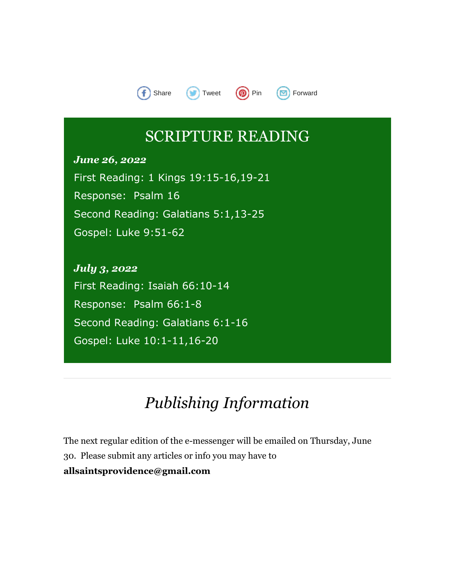

## SCRIPTURE READING

*June 26, 2022* First Reading: 1 Kings 19:15-16,19-21 Response: Psalm 16 Second Reading: Galatians 5:1,13-25 Gospel: Luke 9:51-62

*July 3, 2022* First Reading: Isaiah 66:10-14 Response: Psalm 66:1-8 Second Reading: Galatians 6:1-16 Gospel: Luke 10:1-11,16-20

## *Publishing Information*

The next regular edition of the e-messenger will be emailed on Thursday, June 30. Please submit any articles or info you may have to **[allsaintsprovidence@gmail.com](https://allsaintsmemorial.us3.list-manage.com/track/click?u=7dd27aa76e5aa692a967a8fe9&id=8aa23a0146&e=ed2b772c05)**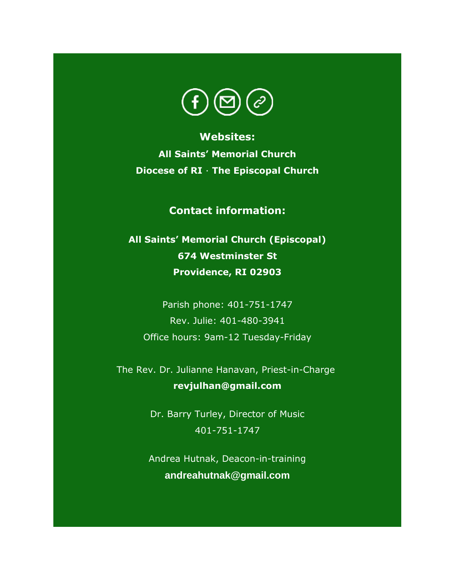

**Websites: [All Saints' Memorial Church](https://allsaintsmemorial.us3.list-manage.com/track/click?u=7dd27aa76e5aa692a967a8fe9&id=31c55822d3&e=ed2b772c05) [Diocese of RI](https://allsaintsmemorial.us3.list-manage.com/track/click?u=7dd27aa76e5aa692a967a8fe9&id=a7ee7860d4&e=ed2b772c05)** · **[The Episcopal Church](https://allsaintsmemorial.us3.list-manage.com/track/click?u=7dd27aa76e5aa692a967a8fe9&id=c419e42de5&e=ed2b772c05)**

**Contact information:**

**All Saints' Memorial Church (Episcopal) 674 Westminster St Providence, RI 02903**

Parish phone: 401-751-1747 Rev. Julie: 401-480-3941 Office hours: 9am-12 Tuesday-Friday

The Rev. Dr. Julianne Hanavan, Priest-in-Charge **[revjulhan@gmail.com](mailto:revjulhan@gmail.com?subject=Response%20to%20e-Parish%20Messenger)**

> Dr. Barry Turley, Director of Music 401-751-1747

> Andrea Hutnak, Deacon-in-training **[andreahutnak@gmail.com](mailto:andreahutnak@gmail.com)**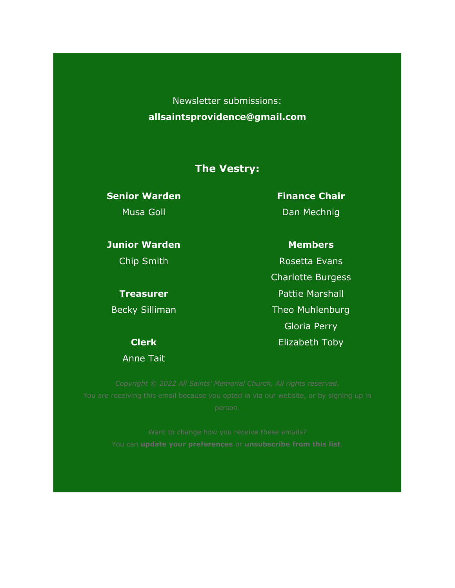Newsletter submissions: **[allsaintsprovidence@gmail.com](mailto:allsaintsprovidence@gmail.com)**

### **The Vestry:**

**Senior Warden** Musa Goll

**Junior Warden**

Chip Smith

**Treasurer** Becky Silliman

**Clerk**

Anne Tait

**Finance Chair** Dan Mechnig

### **Members**

Rosetta Evans Charlotte Burgess Pattie Marshall Theo Muhlenburg Gloria Perry Elizabeth Toby